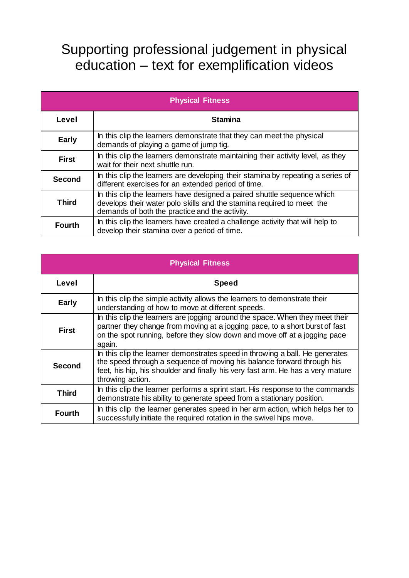## Supporting professional judgement in physical education – text for exemplification videos

| <b>Physical Fitness</b> |                                                                                                                                                                                                    |  |
|-------------------------|----------------------------------------------------------------------------------------------------------------------------------------------------------------------------------------------------|--|
| Level                   | <b>Stamina</b>                                                                                                                                                                                     |  |
| <b>Early</b>            | In this clip the learners demonstrate that they can meet the physical<br>demands of playing a game of jump tig.                                                                                    |  |
| <b>First</b>            | In this clip the learners demonstrate maintaining their activity level, as they<br>wait for their next shuttle run.                                                                                |  |
| <b>Second</b>           | In this clip the learners are developing their stamina by repeating a series of<br>different exercises for an extended period of time.                                                             |  |
| <b>Third</b>            | In this clip the learners have designed a paired shuttle sequence which<br>develops their water polo skills and the stamina required to meet the<br>demands of both the practice and the activity. |  |
| <b>Fourth</b>           | In this clip the learners have created a challenge activity that will help to<br>develop their stamina over a period of time.                                                                      |  |

| <b>Physical Fitness</b> |                                                                                                                                                                                                                                                               |  |
|-------------------------|---------------------------------------------------------------------------------------------------------------------------------------------------------------------------------------------------------------------------------------------------------------|--|
| Level                   | <b>Speed</b>                                                                                                                                                                                                                                                  |  |
| <b>Early</b>            | In this clip the simple activity allows the learners to demonstrate their<br>understanding of how to move at different speeds.                                                                                                                                |  |
| <b>First</b>            | In this clip the learners are jogging around the space. When they meet their<br>partner they change from moving at a jogging pace, to a short burst of fast<br>on the spot running, before they slow down and move off at a jogging pace<br>again.            |  |
| <b>Second</b>           | In this clip the learner demonstrates speed in throwing a ball. He generates<br>the speed through a sequence of moving his balance forward through his<br>feet, his hip, his shoulder and finally his very fast arm. He has a very mature<br>throwing action. |  |
| <b>Third</b>            | In this clip the learner performs a sprint start. His response to the commands<br>demonstrate his ability to generate speed from a stationary position.                                                                                                       |  |
| <b>Fourth</b>           | In this clip the learner generates speed in her arm action, which helps her to<br>successfully initiate the required rotation in the swivel hips move.                                                                                                        |  |